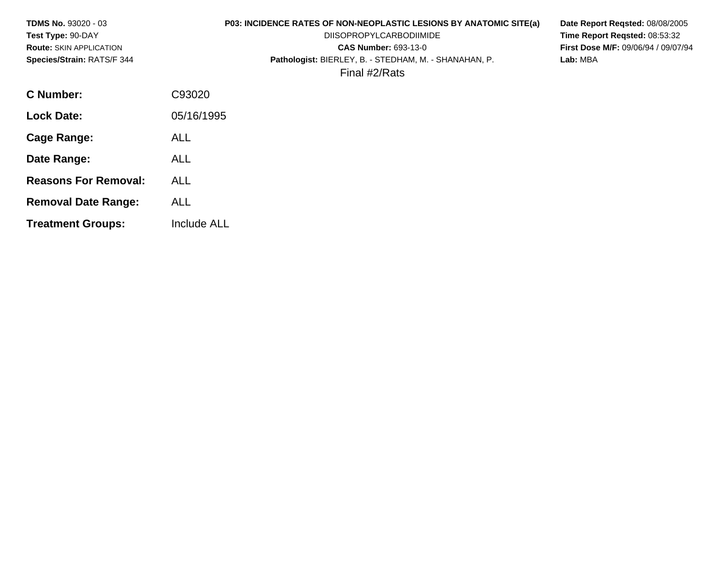| <b>TDMS No. 93020 - 03</b><br>Test Type: 90-DAY<br><b>Route: SKIN APPLICATION</b><br>Species/Strain: RATS/F 344 | P03: INCIDENCE RATES OF NON-NEOPLASTIC LESIONS BY ANATOMIC SITE(a)<br><b>DIISOPROPYLCARBODIIMIDE</b><br><b>CAS Number: 693-13-0</b><br>Pathologist: BIERLEY, B. - STEDHAM, M. - SHANAHAN, P.<br>Final #2/Rats | Date Report Regsted: 08/08/2005<br>Time Report Reqsted: 08:53:32<br><b>First Dose M/F: 09/06/94 / 09/07/94</b><br>Lab: MBA |
|-----------------------------------------------------------------------------------------------------------------|---------------------------------------------------------------------------------------------------------------------------------------------------------------------------------------------------------------|----------------------------------------------------------------------------------------------------------------------------|
| <b>C</b> Number:                                                                                                | C93020                                                                                                                                                                                                        |                                                                                                                            |
| <b>Lock Date:</b>                                                                                               | 05/16/1995                                                                                                                                                                                                    |                                                                                                                            |
| <b>Cage Range:</b>                                                                                              | <b>ALL</b>                                                                                                                                                                                                    |                                                                                                                            |
| Date Range:                                                                                                     | <b>ALL</b>                                                                                                                                                                                                    |                                                                                                                            |
| <b>Reasons For Removal:</b>                                                                                     | <b>ALL</b>                                                                                                                                                                                                    |                                                                                                                            |
| <b>Removal Date Range:</b>                                                                                      | <b>ALL</b>                                                                                                                                                                                                    |                                                                                                                            |
| <b>Treatment Groups:</b>                                                                                        | Include ALL                                                                                                                                                                                                   |                                                                                                                            |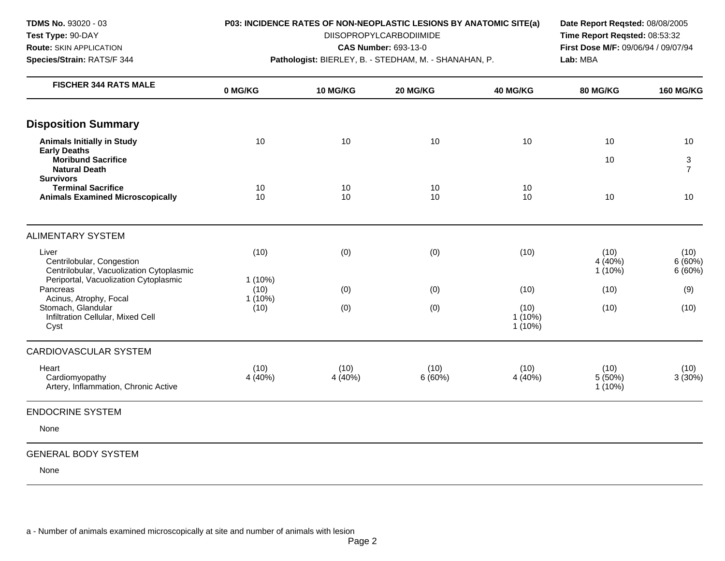**Species/Strain:** RATS/F 344 **Pathologist:** BIERLEY, B. - STEDHAM, M. - SHANAHAN, P. **Lab:** MBA

**Test Type:** 90-DAY DIISOPROPYLCARBODIIMIDE **Time Report Reqsted:** 08:53:32 **Route:** SKIN APPLICATION **CAS Number:** 693-13-0 **First Dose M/F:** 09/06/94 / 09/07/94

| 10              | 10                     | 10             | 10                             | 10                           | 10                       |
|-----------------|------------------------|----------------|--------------------------------|------------------------------|--------------------------|
|                 |                        |                |                                | 10                           | 3<br>$\overline{7}$      |
| 10<br>10        | 10<br>10               | 10<br>10       | 10<br>10                       | 10                           | 10                       |
|                 |                        |                |                                |                              |                          |
| (10)            | (0)                    | (0)            | (10)                           | (10)<br>4 (40%)<br>$1(10\%)$ | (10)<br>6(60%)<br>6(60%) |
| (10)            | (0)                    | (0)            | (10)                           | (10)                         | (9)                      |
| (10)            | (0)                    | (0)            | (10)<br>$1(10\%)$<br>$1(10\%)$ | (10)                         | (10)                     |
|                 |                        |                |                                |                              |                          |
| (10)<br>4 (40%) | (10)<br>4 (40%)        | (10)<br>6(60%) | (10)<br>4 (40%)                | (10)<br>5(50%)<br>$1(10\%)$  | (10)<br>3(30%)           |
|                 |                        |                |                                |                              |                          |
|                 |                        |                |                                |                              |                          |
|                 | $1(10\%)$<br>$1(10\%)$ |                |                                |                              |                          |

## GENERAL BODY SYSTEM

None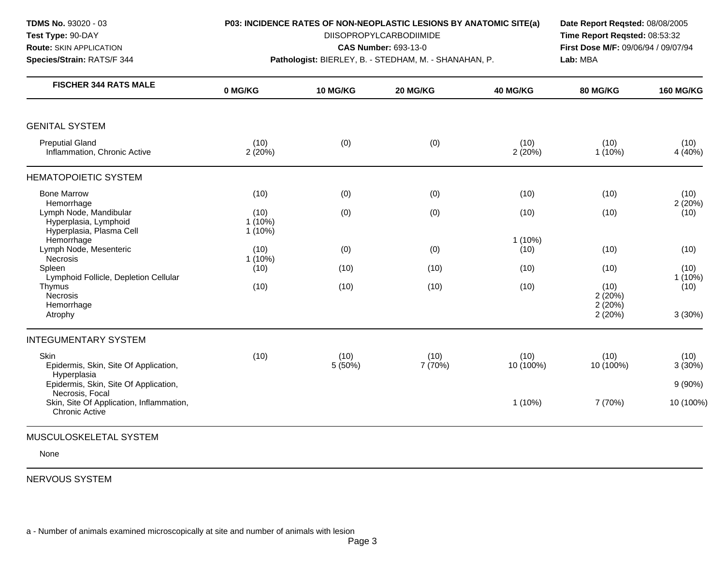**Species/Strain:** RATS/F 344 **Pathologist:** BIERLEY, B. - STEDHAM, M. - SHANAHAN, P. **Lab:** MBA

**Test Type:** 90-DAY DIISOPROPYLCARBODIIMIDE **Time Report Reqsted:** 08:53:32 **Route:** SKIN APPLICATION **CAS Number:** 693-13-0 **First Dose M/F:** 09/06/94 / 09/07/94

| <b>FISCHER 344 RATS MALE</b>                                                | 0 MG/KG                        | <b>10 MG/KG</b> | 20 MG/KG        | 40 MG/KG          | <b>80 MG/KG</b>          | <b>160 MG/KG</b>  |
|-----------------------------------------------------------------------------|--------------------------------|-----------------|-----------------|-------------------|--------------------------|-------------------|
|                                                                             |                                |                 |                 |                   |                          |                   |
| <b>GENITAL SYSTEM</b>                                                       |                                |                 |                 |                   |                          |                   |
| <b>Preputial Gland</b><br>Inflammation, Chronic Active                      | (10)<br>2(20%)                 | (0)             | (0)             | (10)<br>2 (20%)   | (10)<br>$1(10\%)$        | (10)<br>4 (40%)   |
| <b>HEMATOPOIETIC SYSTEM</b>                                                 |                                |                 |                 |                   |                          |                   |
| <b>Bone Marrow</b><br>Hemorrhage                                            | (10)                           | (0)             | (0)             | (10)              | (10)                     | (10)<br>2(20%)    |
| Lymph Node, Mandibular<br>Hyperplasia, Lymphoid<br>Hyperplasia, Plasma Cell | (10)<br>$1(10\%)$<br>$1(10\%)$ | (0)             | (0)             | (10)              | (10)                     | (10)              |
| Hemorrhage<br>Lymph Node, Mesenteric<br><b>Necrosis</b>                     | (10)<br>$1(10\%)$              | (0)             | (0)             | $1(10\%)$<br>(10) | (10)                     | (10)              |
| Spleen<br>Lymphoid Follicle, Depletion Cellular                             | (10)                           | (10)            | (10)            | (10)              | (10)                     | (10)<br>$1(10\%)$ |
| Thymus<br>Necrosis<br>Hemorrhage                                            | (10)                           | (10)            | (10)            | (10)              | (10)<br>2(20%)<br>2(20%) | (10)              |
| Atrophy                                                                     |                                |                 |                 |                   | 2(20%)                   | 3(30%)            |
| <b>INTEGUMENTARY SYSTEM</b>                                                 |                                |                 |                 |                   |                          |                   |
| Skin<br>Epidermis, Skin, Site Of Application,<br>Hyperplasia                | (10)                           | (10)<br>5(50%)  | (10)<br>7 (70%) | (10)<br>10 (100%) | (10)<br>10 (100%)        | (10)<br>3(30%)    |
| Epidermis, Skin, Site Of Application,<br>Necrosis, Focal                    |                                |                 |                 |                   |                          | $9(90\%)$         |
| Skin, Site Of Application, Inflammation,<br><b>Chronic Active</b>           |                                |                 |                 | $1(10\%)$         | 7 (70%)                  | 10 (100%)         |
| MUSCULOSKELETAL SYSTEM                                                      |                                |                 |                 |                   |                          |                   |

# None

NERVOUS SYSTEM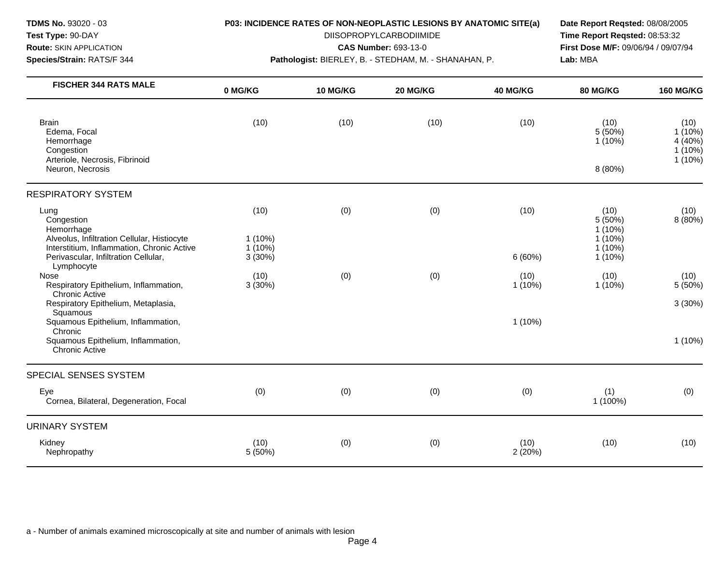**TDMS No.** 93020 - 03

# **Test Type:** 90-DAY

**Route:** SKIN APPLICATION

**Species/Strain:** RATS/F 344

#### **P03: INCIDENCE RATES OF NON-NEOPLASTIC LESIONS BY ANATOMIC SITE(a)**

DIISOPROPYLCARBODIIMIDE

**CAS Number:** 693-13-0

**Pathologist:** BIERLEY, B. - STEDHAM, M. - SHANAHAN, P.

**Date Report Reqsted:** 08/08/2005 **Time Report Reqsted:** 08:53:32 **First Dose M/F:** 09/06/94 / 09/07/94 **Lab:** MBA

| <b>FISCHER 344 RATS MALE</b>                                                                                                  | 0 MG/KG                        | 10 MG/KG | 20 MG/KG | 40 MG/KG          | 80 MG/KG                                            | <b>160 MG/KG</b>                                       |
|-------------------------------------------------------------------------------------------------------------------------------|--------------------------------|----------|----------|-------------------|-----------------------------------------------------|--------------------------------------------------------|
| <b>Brain</b><br>Edema, Focal<br>Hemorrhage<br>Congestion<br>Arteriole, Necrosis, Fibrinoid                                    | (10)                           | (10)     | (10)     | (10)              | (10)<br>5(50%)<br>$1(10\%)$                         | (10)<br>$1(10\%)$<br>4 (40%)<br>$1(10\%)$<br>$1(10\%)$ |
| Neuron, Necrosis                                                                                                              |                                |          |          |                   | 8 (80%)                                             |                                                        |
| <b>RESPIRATORY SYSTEM</b>                                                                                                     |                                |          |          |                   |                                                     |                                                        |
| Lung<br>Congestion<br>Hemorrhage<br>Alveolus, Infiltration Cellular, Histiocyte<br>Interstitium, Inflammation, Chronic Active | (10)<br>$1(10\%)$<br>$1(10\%)$ | (0)      | (0)      | (10)              | (10)<br>5 (50%)<br>1(10%)<br>$1(10\%)$<br>$1(10\%)$ | (10)<br>8(80%)                                         |
| Perivascular, Infiltration Cellular,<br>Lymphocyte                                                                            | 3(30%)                         |          |          | 6(60%)            | 1 (10%)                                             |                                                        |
| Nose<br>Respiratory Epithelium, Inflammation,<br><b>Chronic Active</b>                                                        | (10)<br>3(30%)                 | (0)      | (0)      | (10)<br>$1(10\%)$ | (10)<br>$1(10\%)$                                   | (10)<br>5(50%)                                         |
| Respiratory Epithelium, Metaplasia,                                                                                           |                                |          |          |                   |                                                     | 3(30%)                                                 |
| Squamous<br>Squamous Epithelium, Inflammation,                                                                                |                                |          |          | $1(10\%)$         |                                                     |                                                        |
| Chronic<br>Squamous Epithelium, Inflammation,<br><b>Chronic Active</b>                                                        |                                |          |          |                   |                                                     | $1(10\%)$                                              |
| SPECIAL SENSES SYSTEM                                                                                                         |                                |          |          |                   |                                                     |                                                        |
| Eye<br>Cornea, Bilateral, Degeneration, Focal                                                                                 | (0)                            | (0)      | (0)      | (0)               | (1)<br>1 (100%)                                     | (0)                                                    |
| <b>URINARY SYSTEM</b>                                                                                                         |                                |          |          |                   |                                                     |                                                        |
| Kidney<br>Nephropathy                                                                                                         | (10)<br>5 (50%)                | (0)      | (0)      | (10)<br>2(20%)    | (10)                                                | (10)                                                   |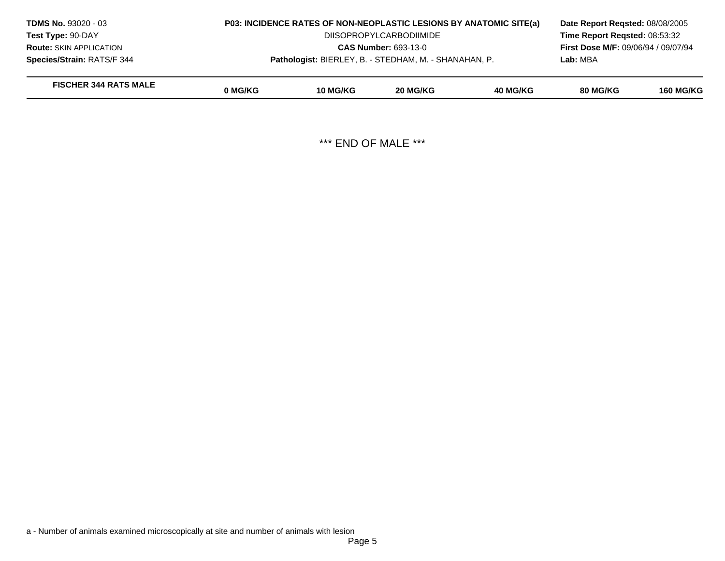| <b>TDMS No. 93020 - 03</b>     | <b>P03: INCIDENCE RATES OF NON-NEOPLASTIC LESIONS BY ANATOMIC SITE(a)</b> |                 |          |          | Date Report Regsted: 08/08/2005            |                  |  |
|--------------------------------|---------------------------------------------------------------------------|-----------------|----------|----------|--------------------------------------------|------------------|--|
| <b>Test Type: 90-DAY</b>       | <b>DIISOPROPYLCARBODIIMIDE</b>                                            |                 |          |          | Time Report Regsted: 08:53:32              |                  |  |
| <b>Route: SKIN APPLICATION</b> | <b>CAS Number: 693-13-0</b>                                               |                 |          |          | <b>First Dose M/F: 09/06/94 / 09/07/94</b> |                  |  |
| Species/Strain: RATS/F 344     | Pathologist: BIERLEY, B. - STEDHAM, M. - SHANAHAN, P.                     |                 |          |          | Lab: MBA                                   |                  |  |
| <b>FISCHER 344 RATS MALE</b>   | 0 MG/KG                                                                   | <b>10 MG/KG</b> | 20 MG/KG | 40 MG/KG | 80 MG/KG                                   | <b>160 MG/KG</b> |  |

\*\*\* END OF MALE \*\*\*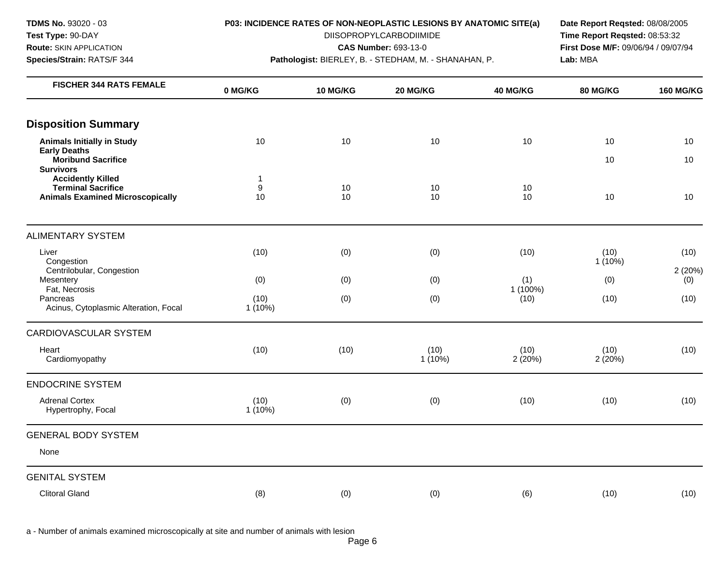**Species/Strain:** RATS/F 344 **Pathologist:** BIERLEY, B. - STEDHAM, M. - SHANAHAN, P. **Lab:** MBA

**Test Type:** 90-DAY DIISOPROPYLCARBODIIMIDE **Time Report Reqsted:** 08:53:32 **Route:** SKIN APPLICATION **CAS Number:** 693-13-0 **First Dose M/F:** 09/06/94 / 09/07/94

| <b>FISCHER 344 RATS FEMALE</b>                                                                   | 0 MG/KG                     | 10 MG/KG | 20 MG/KG          | 40 MG/KG         | 80 MG/KG          | <b>160 MG/KG</b> |
|--------------------------------------------------------------------------------------------------|-----------------------------|----------|-------------------|------------------|-------------------|------------------|
| <b>Disposition Summary</b>                                                                       |                             |          |                   |                  |                   |                  |
| <b>Animals Initially in Study</b><br><b>Early Deaths</b>                                         | 10                          | 10       | 10                | 10               | 10                | 10               |
| Moribund Sacrifice<br><b>Survivors</b>                                                           |                             |          |                   |                  | 10                | 10               |
| <b>Accidently Killed</b><br><b>Terminal Sacrifice</b><br><b>Animals Examined Microscopically</b> | 1<br>$\boldsymbol{9}$<br>10 | 10<br>10 | 10<br>10          | 10<br>10         | 10                | 10               |
| <b>ALIMENTARY SYSTEM</b>                                                                         |                             |          |                   |                  |                   |                  |
| Liver<br>Congestion                                                                              | (10)                        | (0)      | (0)               | (10)             | (10)<br>$1(10\%)$ | (10)             |
| Centrilobular, Congestion<br>Mesentery                                                           | (0)                         | (0)      | (0)               | (1)              | (0)               | 2(20%)<br>(0)    |
| Fat, Necrosis<br>Pancreas<br>Acinus, Cytoplasmic Alteration, Focal                               | (10)<br>$1(10\%)$           | (0)      | (0)               | 1 (100%)<br>(10) | (10)              | (10)             |
| <b>CARDIOVASCULAR SYSTEM</b>                                                                     |                             |          |                   |                  |                   |                  |
| Heart<br>Cardiomyopathy                                                                          | (10)                        | (10)     | (10)<br>$1(10\%)$ | (10)<br>2(20%)   | (10)<br>2(20%)    | (10)             |
| <b>ENDOCRINE SYSTEM</b>                                                                          |                             |          |                   |                  |                   |                  |
| <b>Adrenal Cortex</b><br>Hypertrophy, Focal                                                      | (10)<br>$1(10\%)$           | (0)      | (0)               | (10)             | (10)              | (10)             |
| <b>GENERAL BODY SYSTEM</b>                                                                       |                             |          |                   |                  |                   |                  |
| None                                                                                             |                             |          |                   |                  |                   |                  |
| <b>GENITAL SYSTEM</b>                                                                            |                             |          |                   |                  |                   |                  |
| <b>Clitoral Gland</b>                                                                            | (8)                         | (0)      | (0)               | (6)              | (10)              | (10)             |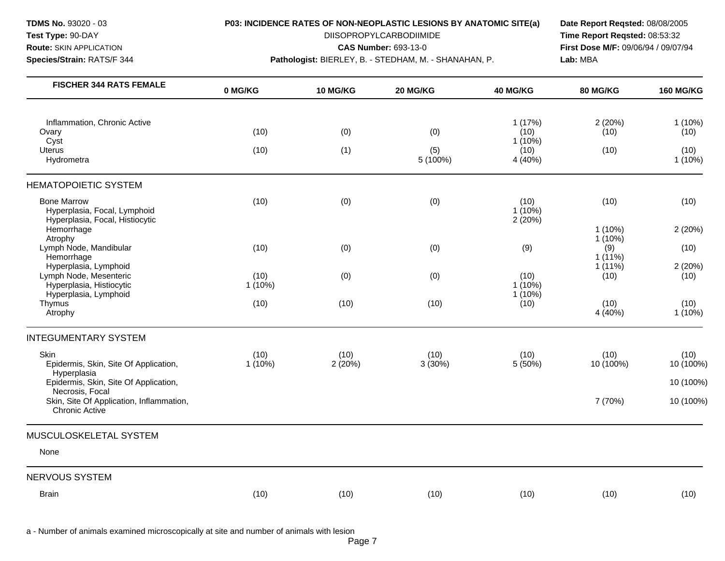**Species/Strain:** RATS/F 344 **Pathologist:** BIERLEY, B. - STEDHAM, M. - SHANAHAN, P. **Lab:** MBA

**Test Type:** 90-DAY DIISOPROPYLCARBODIIMIDE **Time Report Reqsted:** 08:53:32 **Route:** SKIN APPLICATION **CAS Number:** 693-13-0 **First Dose M/F:** 09/06/94 / 09/07/94

| <b>FISCHER 344 RATS FEMALE</b>                                                        | 0 MG/KG           | 10 MG/KG       | 20 MG/KG          | 40 MG/KG                     | 80 MG/KG               | <b>160 MG/KG</b>  |
|---------------------------------------------------------------------------------------|-------------------|----------------|-------------------|------------------------------|------------------------|-------------------|
|                                                                                       |                   |                |                   |                              |                        |                   |
| Inflammation, Chronic Active<br>Ovary                                                 | (10)              | (0)            | (0)               | 1(17%)<br>(10)               | 2(20%)<br>(10)         | $1(10\%)$<br>(10) |
| Cyst<br><b>Uterus</b><br>Hydrometra                                                   | (10)              | (1)            | (5)<br>$5(100\%)$ | $1(10\%)$<br>(10)<br>4 (40%) | (10)                   | (10)<br>$1(10\%)$ |
| <b>HEMATOPOIETIC SYSTEM</b>                                                           |                   |                |                   |                              |                        |                   |
| <b>Bone Marrow</b><br>Hyperplasia, Focal, Lymphoid<br>Hyperplasia, Focal, Histiocytic | (10)              | (0)            | (0)               | (10)<br>$1(10\%)$<br>2(20%)  | (10)                   | (10)              |
| Hemorrhage<br>Atrophy                                                                 |                   |                |                   |                              | $1(10\%)$<br>$1(10\%)$ | 2(20%)            |
| Lymph Node, Mandibular<br>Hemorrhage                                                  | (10)              | (0)            | (0)               | (9)                          | (9)<br>$1(11\%)$       | (10)              |
| Hyperplasia, Lymphoid<br>Lymph Node, Mesenteric<br>Hyperplasia, Histiocytic           | (10)<br>$1(10\%)$ | (0)            | (0)               | (10)<br>$1(10\%)$            | $1(11\%)$<br>(10)      | 2(20%)<br>(10)    |
| Hyperplasia, Lymphoid<br>Thymus<br>Atrophy                                            | (10)              | (10)           | (10)              | $1(10\%)$<br>(10)            | (10)<br>4 (40%)        | (10)<br>$1(10\%)$ |
| <b>INTEGUMENTARY SYSTEM</b>                                                           |                   |                |                   |                              |                        |                   |
| Skin<br>Epidermis, Skin, Site Of Application,<br>Hyperplasia                          | (10)<br>$1(10\%)$ | (10)<br>2(20%) | (10)<br>$3(30\%)$ | (10)<br>5 (50%)              | (10)<br>10 (100%)      | (10)<br>10 (100%) |
| Epidermis, Skin, Site Of Application,<br>Necrosis, Focal                              |                   |                |                   |                              |                        | 10 (100%)         |
| Skin, Site Of Application, Inflammation,<br><b>Chronic Active</b>                     |                   |                |                   |                              | 7 (70%)                | 10 (100%)         |
| MUSCULOSKELETAL SYSTEM                                                                |                   |                |                   |                              |                        |                   |
| None                                                                                  |                   |                |                   |                              |                        |                   |
| <b>NERVOUS SYSTEM</b>                                                                 |                   |                |                   |                              |                        |                   |
| <b>Brain</b>                                                                          | (10)              | (10)           | (10)              | (10)                         | (10)                   | (10)              |